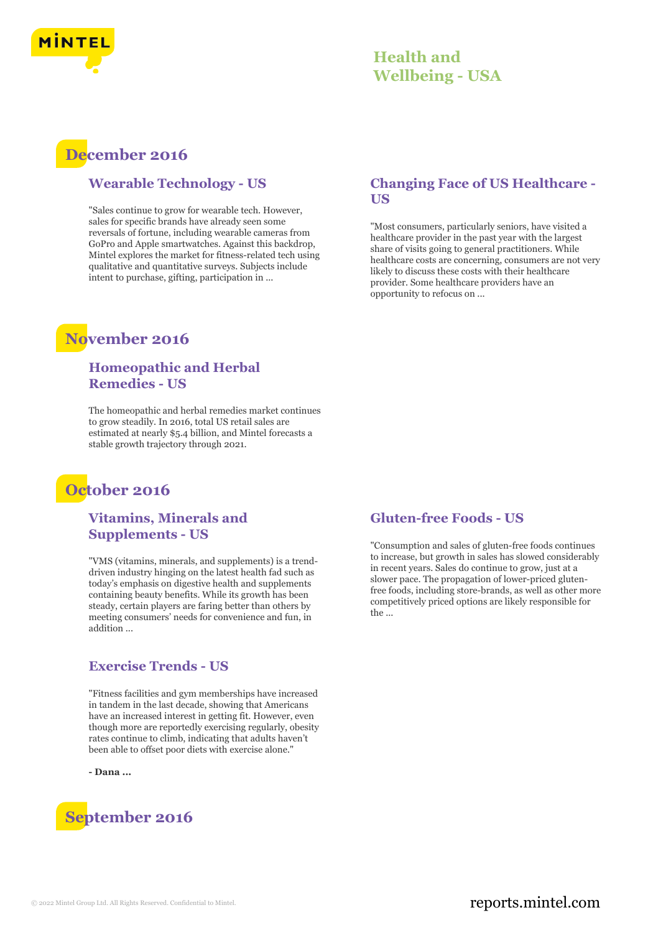

## **December 2016**

#### **Wearable Technology - US**

"Sales continue to grow for wearable tech. However, sales for specific brands have already seen some reversals of fortune, including wearable cameras from GoPro and Apple smartwatches. Against this backdrop, Mintel explores the market for fitness-related tech using qualitative and quantitative surveys. Subjects include intent to purchase, gifting, participation in ...

## **November 2016**

#### **Homeopathic and Herbal Remedies - US**

The homeopathic and herbal remedies market continues to grow steadily. In 2016, total US retail sales are estimated at nearly \$5.4 billion, and Mintel forecasts a stable growth trajectory through 2021.

## **October 2016**

**Vitamins, Minerals and Supplements - US**

"VMS (vitamins, minerals, and supplements) is a trenddriven industry hinging on the latest health fad such as today's emphasis on digestive health and supplements containing beauty benefits. While its growth has been steady, certain players are faring better than others by meeting consumers' needs for convenience and fun, in addition ...

#### **Exercise Trends - US**

"Fitness facilities and gym memberships have increased in tandem in the last decade, showing that Americans have an increased interest in getting fit. However, even though more are reportedly exercising regularly, obesity rates continue to climb, indicating that adults haven't been able to offset poor diets with exercise alone."

**- Dana ...**



#### **Changing Face of US Healthcare - US**

"Most consumers, particularly seniors, have visited a healthcare provider in the past year with the largest share of visits going to general practitioners. While healthcare costs are concerning, consumers are not very likely to discuss these costs with their healthcare provider. Some healthcare providers have an opportunity to refocus on ...

#### **Gluten-free Foods - US**

"Consumption and sales of gluten-free foods continues to increase, but growth in sales has slowed considerably in recent years. Sales do continue to grow, just at a slower pace. The propagation of lower-priced glutenfree foods, including store-brands, as well as other more competitively priced options are likely responsible for the ...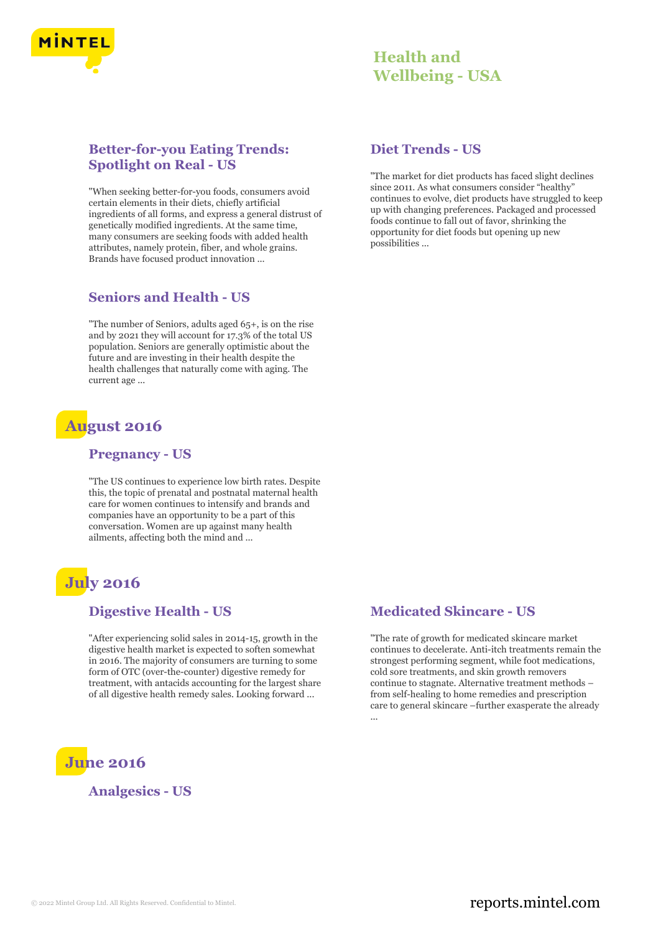

#### **Better-for-you Eating Trends: Spotlight on Real - US**

"When seeking better-for-you foods, consumers avoid certain elements in their diets, chiefly artificial ingredients of all forms, and express a general distrust of genetically modified ingredients. At the same time, many consumers are seeking foods with added health attributes, namely protein, fiber, and whole grains. Brands have focused product innovation ...

#### **Seniors and Health - US**

"The number of Seniors, adults aged 65+, is on the rise and by 2021 they will account for 17.3% of the total US population. Seniors are generally optimistic about the future and are investing in their health despite the health challenges that naturally come with aging. The current age ...

# **August 2016**

#### **Pregnancy - US**

"The US continues to experience low birth rates. Despite this, the topic of prenatal and postnatal maternal health care for women continues to intensify and brands and companies have an opportunity to be a part of this conversation. Women are up against many health ailments, affecting both the mind and ...

# **July 2016**

#### **Digestive Health - US**

"After experiencing solid sales in 2014-15, growth in the digestive health market is expected to soften somewhat in 2016. The majority of consumers are turning to some form of OTC (over-the-counter) digestive remedy for treatment, with antacids accounting for the largest share of all digestive health remedy sales. Looking forward ...

# **June 2016**

**Analgesics - US**

#### **Diet Trends - US**

"The market for diet products has faced slight declines since 2011. As what consumers consider "healthy" continues to evolve, diet products have struggled to keep up with changing preferences. Packaged and processed foods continue to fall out of favor, shrinking the opportunity for diet foods but opening up new possibilities ...

#### **Medicated Skincare - US**

"The rate of growth for medicated skincare market continues to decelerate. Anti-itch treatments remain the strongest performing segment, while foot medications, cold sore treatments, and skin growth removers continue to stagnate. Alternative treatment methods – from self-healing to home remedies and prescription care to general skincare –further exasperate the already ...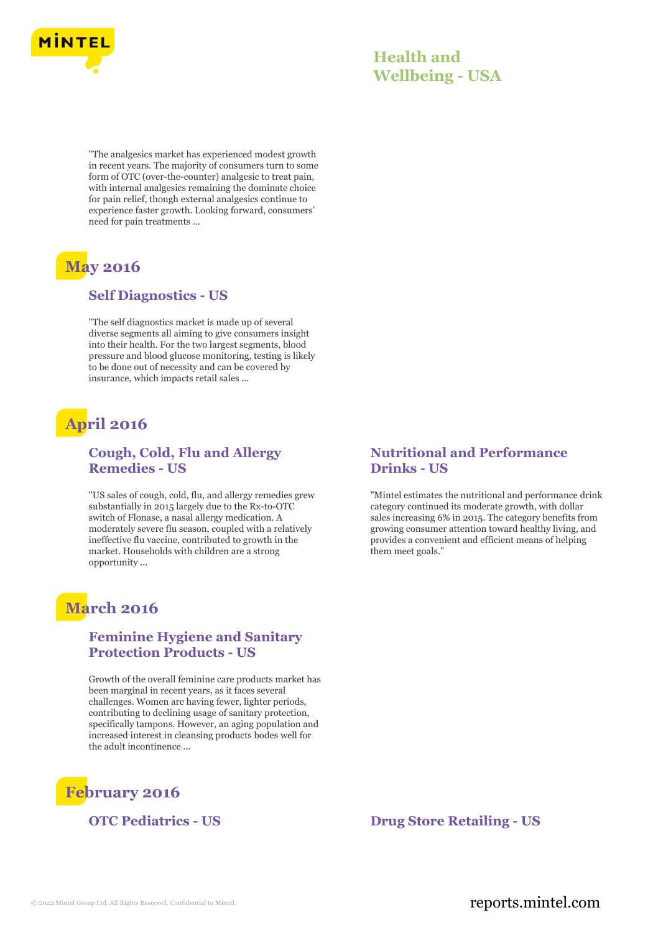

"The analgesics market has experienced modest growth in recent years. The majority of consumers turn to some form of OTC (over-the-counter) analgesic to treat pain, with internal analgesics remaining the dominate choice for pain relief, though external analgesics continue to experience faster growth. Looking forward, consumers' need for pain treatments ...

# **May 2016**

#### **Self Diagnostics - US**

"The self diagnostics market is made up of several diverse segments all aiming to give consumers insight into their health. For the two largest segments, blood pressure and blood glucose monitoring, testing is likely to be done out of necessity and can be covered by insurance, which impacts retail sales ...

# **April 2016**

#### **Cough, Cold, Flu and Allergy Remedies - US**

"US sales of cough, cold, flu, and allergy remedies grew substantially in 2015 largely due to the Rx-to-OTC switch of Flonase, a nasal allergy medication. A moderately severe flu season, coupled with a relatively ineffective flu vaccine, contributed to growth in the market. Households with children are a strong opportunity ...

## **March 2016**

#### **Feminine Hygiene and Sanitary Protection Products - US**

Growth of the overall feminine care products market has been marginal in recent years, as it faces several challenges. Women are having fewer, lighter periods, contributing to declining usage of sanitary protection, specifically tampons. However, an aging population and increased interest in cleansing products bodes well for the adult incontinence ...



#### **Nutritional and Performance Drinks - US**

"Mintel estimates the nutritional and performance drink category continued its moderate growth, with dollar sales increasing 6% in 2015. The category benefits from growing consumer attention toward healthy living, and provides a convenient and efficient means of helping them meet goals."

#### **OTC Pediatrics - US Drug Store Retailing - US**